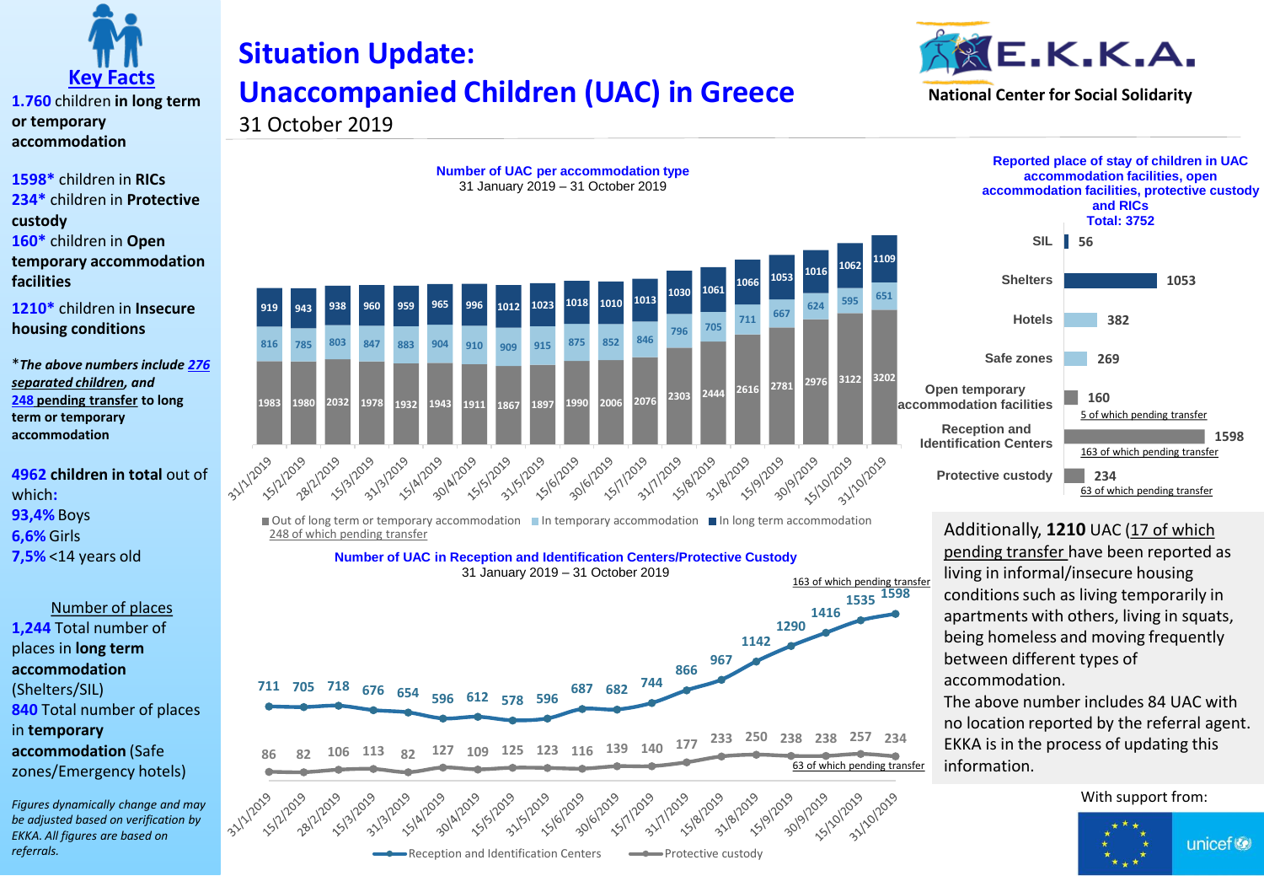

**1.760** children **in long term or temporary accommodation**

**1598\*** children in **RICs 234\*** children in **Protective custody 160\*** children in **Open temporary accommodation facilities**

**1210\*** children in **Insecure housing conditions**

\**The above numbers include 276 separated children, and*  **248 pending transfer to long term or temporary accommodation**

**4962 children in total** out of which**: 93,4%** Boys **6,6%** Girls **7,5%** <14 years old

Number of places **1,244** Total number of places in **long term accommodation**  (Shelters/SIL) **840** Total number of places in **temporary accommodation** (Safe zones/Emergency hotels)

*Figures dynamically change and may be adjusted based on verification by EKKA. All figures are based on referrals.* 

## **Situation Update: Unaccompanied Children (UAC) in Greece**





31 October 2019



**Number of UAC per accommodation type**

 $\Box$  Out of long term or temporary accommodation  $\Box$  In temporary accommodation  $\Box$  In long term accommodation 248 of which pending transfer

**Number of UAC in Reception and Identification Centers/Protective Custody**



**56 SIL 1053 382 269 160 1598 234 Shelters Hotels Safe zones Open temporary accommodation facilities Reception and Identification Centers Protective custody accommodation facilities, open accommodation facilities, protective custody and RICs Total: 3752** 63 of which pending transfer 163 of which pending transfer 5 of which pending transfer

**Reported place of stay of children in UAC** 

Additionally, **1210** UAC (17 of which pending transfer have been reported as living in informal/insecure housing conditions such as living temporarily in apartments with others, living in squats, being homeless and moving frequently between different types of accommodation.

The above number includes 84 UAC with no location reported by the referral agent. EKKA is in the process of updating this information.

With support from:

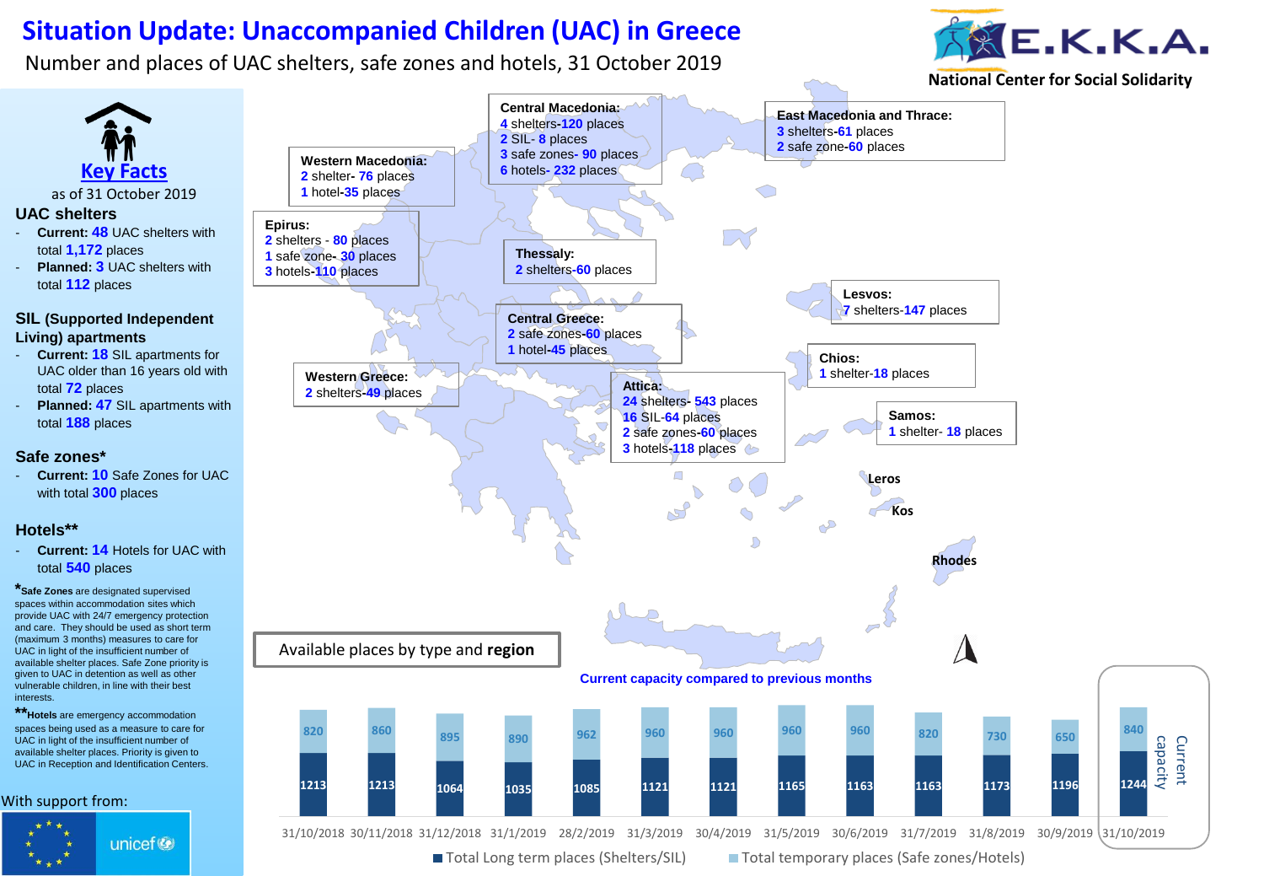## **Situation Update: Unaccompanied Children (UAC) in Greece**

Number and places of UAC shelters, safe zones and hotels, 31 October 2019

interests.



**National Center for Social Solidarity**



■ Total Long term places (Shelters/SIL) ■ Total temporary places (Safe zones/Hotels)